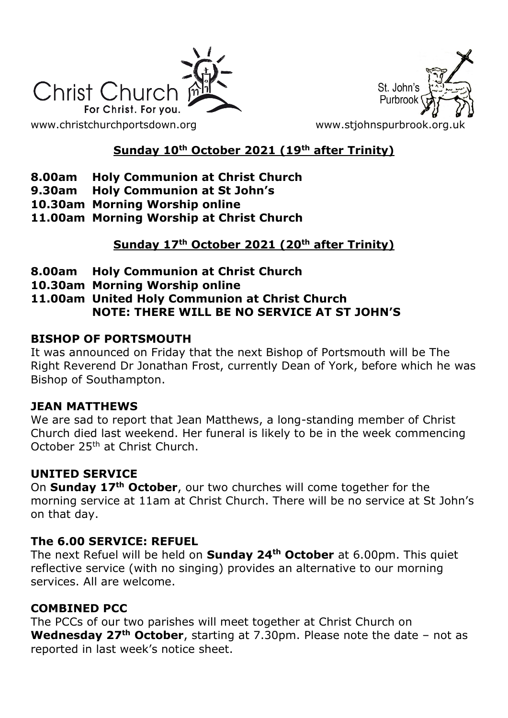



# **Sunday 10th October 2021 (19th after Trinity)**

- **8.00am Holy Communion at Christ Church**
- **9.30am Holy Communion at St John's**
- **10.30am Morning Worship online**
- **11.00am Morning Worship at Christ Church**

# **Sunday 17th October 2021 (20th after Trinity)**

- **8.00am Holy Communion at Christ Church**
- **10.30am Morning Worship online**
- **11.00am United Holy Communion at Christ Church NOTE: THERE WILL BE NO SERVICE AT ST JOHN'S**

### **BISHOP OF PORTSMOUTH**

It was announced on Friday that the next Bishop of Portsmouth will be The Right Reverend Dr Jonathan Frost, currently Dean of York, before which he was Bishop of Southampton.

#### **JEAN MATTHEWS**

We are sad to report that Jean Matthews, a long-standing member of Christ Church died last weekend. Her funeral is likely to be in the week commencing October 25th at Christ Church.

## **UNITED SERVICE**

On **Sunday 17th October**, our two churches will come together for the morning service at 11am at Christ Church. There will be no service at St John's on that day.

#### **The 6.00 SERVICE: REFUEL**

The next Refuel will be held on **Sunday 24th October** at 6.00pm. This quiet reflective service (with no singing) provides an alternative to our morning services. All are welcome.

## **COMBINED PCC**

The PCCs of our two parishes will meet together at Christ Church on **Wednesday 27th October**, starting at 7.30pm. Please note the date – not as reported in last week's notice sheet.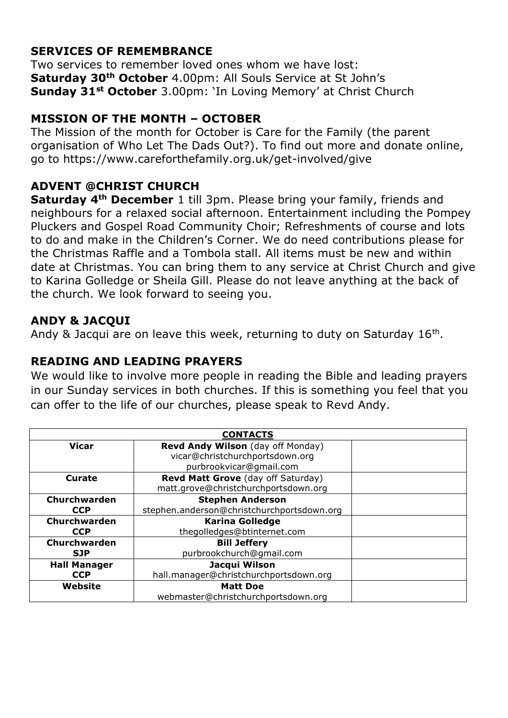# **SERVICES OF REMEMBRANCE**

Two services to remember loved ones whom we have lost: **Saturday 30th October** 4.00pm: All Souls Service at St John's **Sunday 31st October** 3.00pm: 'In Loving Memory' at Christ Church

## **MISSION OF THE MONTH – OCTOBER**

The Mission of the month for October is Care for the Family (the parent organisation of Who Let The Dads Out?). To find out more and donate online, go to https://www.careforthefamily.org.uk/get-involved/give

### **ADVENT @CHRIST CHURCH**

**Saturday 4th December** 1 till 3pm. Please bring your family, friends and neighbours for a relaxed social afternoon. Entertainment including the Pompey Pluckers and Gospel Road Community Choir; Refreshments of course and lots to do and make in the Children's Corner. We do need contributions please for the Christmas Raffle and a Tombola stall. All items must be new and within date at Christmas. You can bring them to any service at Christ Church and give to Karina Golledge or Sheila Gill. Please do not leave anything at the back of the church. We look forward to seeing you.

### **ANDY & JACQUI**

Andy & Jacqui are on leave this week, returning to duty on Saturday  $16<sup>th</sup>$ .

## **READING AND LEADING PRAYERS**

We would like to involve more people in reading the Bible and leading prayers in our Sunday services in both churches. If this is something you feel that you can offer to the life of our churches, please speak to Revd Andy.

| <b>CONTACTS</b>     |                                            |  |
|---------------------|--------------------------------------------|--|
| <b>Vicar</b>        | Revd Andy Wilson (day off Monday)          |  |
|                     | vicar@christchurchportsdown.org            |  |
|                     | purbrookvicar@gmail.com                    |  |
| <b>Curate</b>       | Revd Matt Grove (day off Saturday)         |  |
|                     | matt.grove@christchurchportsdown.org       |  |
| Churchwarden        | <b>Stephen Anderson</b>                    |  |
| <b>CCP</b>          | stephen.anderson@christchurchportsdown.org |  |
| Churchwarden        | <b>Karina Golledge</b>                     |  |
| <b>CCP</b>          | thegolledges@btinternet.com                |  |
| Churchwarden        | <b>Bill Jeffery</b>                        |  |
| <b>SJP</b>          | purbrookchurch@gmail.com                   |  |
| <b>Hall Manager</b> | Jacqui Wilson                              |  |
| <b>CCP</b>          | hall.manager@christchurchportsdown.org     |  |
| Website             | <b>Matt Doe</b>                            |  |
|                     | webmaster@christchurchportsdown.org        |  |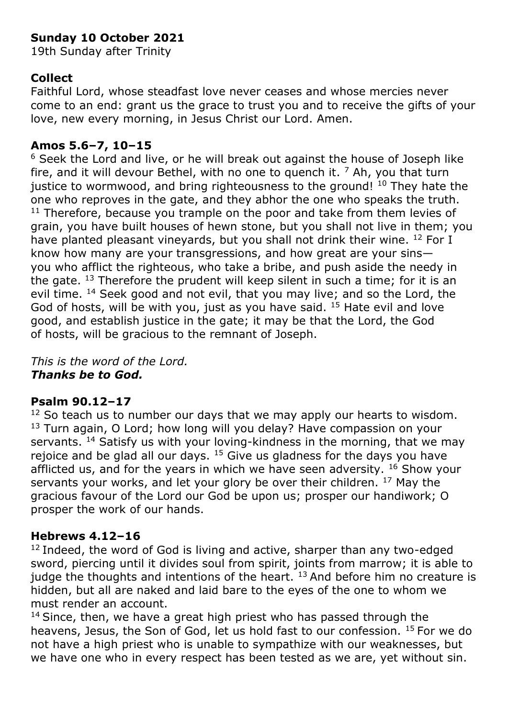# **Sunday 10 October 2021**

19th Sunday after Trinity

## **Collect**

Faithful Lord, whose steadfast love never ceases and whose mercies never come to an end: grant us the grace to trust you and to receive the gifts of your love, new every morning, in Jesus Christ our Lord. Amen.

### **Amos 5.6–7, 10–15**

<sup>6</sup> Seek the Lord and live, or he will break out against the house of Joseph like fire, and it will devour Bethel, with no one to quench it.  $<sup>7</sup>$  Ah, you that turn</sup> justice to wormwood, and bring righteousness to the ground!  $10$  They hate the one who reproves in the gate, and they abhor the one who speaks the truth.  $11$  Therefore, because you trample on the poor and take from them levies of grain, you have built houses of hewn stone, but you shall not live in them; you have planted pleasant vineyards, but you shall not drink their wine. <sup>12</sup> For I know how many are your transgressions, and how great are your sins you who afflict the righteous, who take a bribe, and push aside the needy in the gate.  $13$  Therefore the prudent will keep silent in such a time; for it is an evil time. <sup>14</sup> Seek good and not evil, that you may live; and so the Lord, the God of hosts, will be with you, just as you have said.  $15$  Hate evil and love good, and establish justice in the gate; it may be that the Lord, the God of hosts, will be gracious to the remnant of Joseph.

*This is the word of the Lord. Thanks be to God.*

#### **Psalm 90.12–17**

 $12$  So teach us to number our days that we may apply our hearts to wisdom. <sup>13</sup> Turn again, O Lord; how long will you delay? Have compassion on your servants.  $14$  Satisfy us with your loving-kindness in the morning, that we may rejoice and be glad all our days.  $15$  Give us gladness for the days you have afflicted us, and for the years in which we have seen adversity.  $16$  Show your servants your works, and let your glory be over their children. <sup>17</sup> May the gracious favour of the Lord our God be upon us; prosper our handiwork; O prosper the work of our hands.

#### **Hebrews 4.12–16**

 $12$  Indeed, the word of God is living and active, sharper than any two-edged sword, piercing until it divides soul from spirit, joints from marrow; it is able to judge the thoughts and intentions of the heart.  $13$  And before him no creature is hidden, but all are naked and laid bare to the eyes of the one to whom we must render an account.

 $14$  Since, then, we have a great high priest who has passed through the heavens, Jesus, the Son of God, let us hold fast to our confession. <sup>15</sup> For we do not have a high priest who is unable to sympathize with our weaknesses, but we have one who in every respect has been tested as we are, yet without sin.